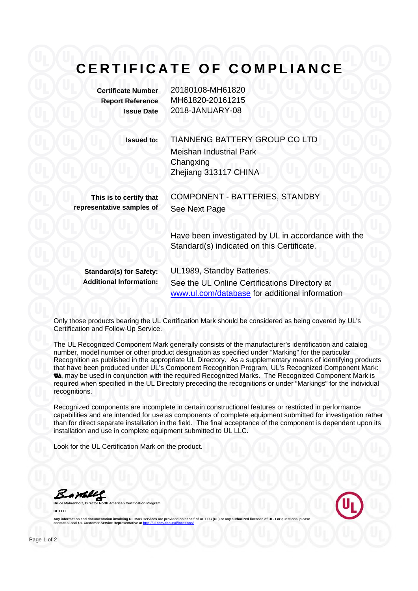## **CERTIFICATE OF COMPLIANCE**

| <b>Certificate Number</b> | 20180108-MH61820 |
|---------------------------|------------------|
| <b>Report Reference</b>   | MH61820-20161215 |
| <b>Issue Date</b>         | 2018-JANUARY-08  |

**Issued to:** TIANNENG BATTERY GROUP CO LTD Meishan Industrial Park **Changxing** Zhejiang 313117 CHINA

**This is to certify that representative samples of**

COMPONENT - BATTERIES, STANDBY See Next Page

Have been investigated by UL in accordance with the Standard(s) indicated on this Certificate.

**Standard(s) for Safety:** UL1989, Standby Batteries. **Additional Information:** See the UL Online Certifications Directory at www.ul.com/database for additional information

Only those products bearing the UL Certification Mark should be considered as being covered by UL's Certification and Follow-Up Service.

The UL Recognized Component Mark generally consists of the manufacturer's identification and catalog number, model number or other product designation as specified under "Marking" for the particular Recognition as published in the appropriate UL Directory. As a supplementary means of identifying products that have been produced under UL's Component Recognition Program, UL's Recognized Component Mark: **N.** may be used in conjunction with the required Recognized Marks. The Recognized Component Mark is required when specified in the UL Directory preceding the recognitions or under "Markings" for the individual recognitions.

Recognized components are incomplete in certain constructional features or restricted in performance capabilities and are intended for use as components of complete equipment submitted for investigation rather than for direct separate installation in the field. The final acceptance of the component is dependent upon its installation and use in complete equipment submitted to UL LLC.

Look for the UL Certification Mark on the product.

Bambley

**Bruce Manuel Certification Pro UL LLC** 



Any information and documentation involving UL Mark services are provided on behalf of UL LLC (UL) or **contact a local UL Customer Service Representative at**